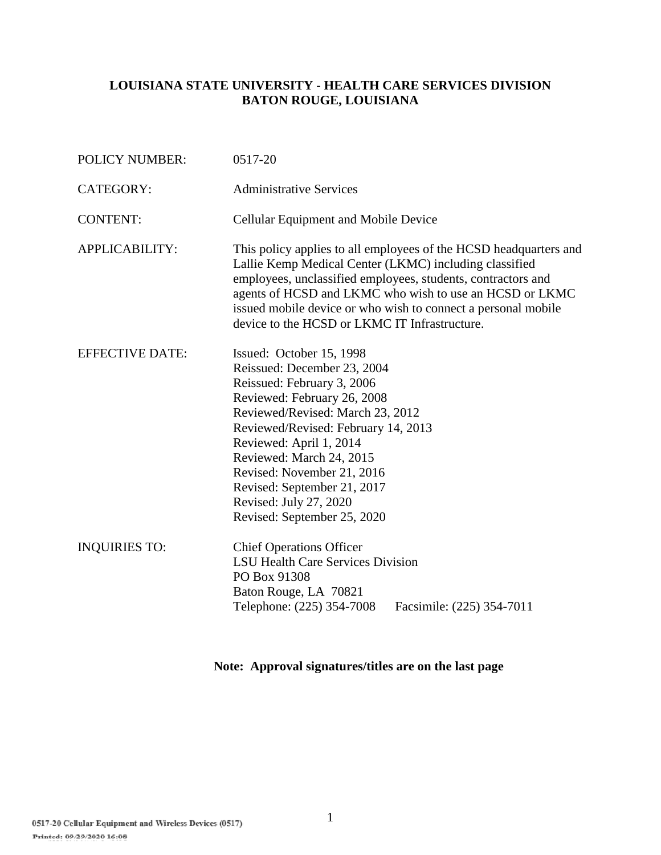## **LOUISIANA STATE UNIVERSITY - HEALTH CARE SERVICES DIVISION BATON ROUGE, LOUISIANA**

| <b>POLICY NUMBER:</b>  | 0517-20                                                                                                                                                                                                                                                                                                                                                                      |  |
|------------------------|------------------------------------------------------------------------------------------------------------------------------------------------------------------------------------------------------------------------------------------------------------------------------------------------------------------------------------------------------------------------------|--|
| <b>CATEGORY:</b>       | <b>Administrative Services</b>                                                                                                                                                                                                                                                                                                                                               |  |
| <b>CONTENT:</b>        | Cellular Equipment and Mobile Device                                                                                                                                                                                                                                                                                                                                         |  |
| APPLICABILITY:         | This policy applies to all employees of the HCSD headquarters and<br>Lallie Kemp Medical Center (LKMC) including classified<br>employees, unclassified employees, students, contractors and<br>agents of HCSD and LKMC who wish to use an HCSD or LKMC<br>issued mobile device or who wish to connect a personal mobile<br>device to the HCSD or LKMC IT Infrastructure.     |  |
| <b>EFFECTIVE DATE:</b> | Issued: October 15, 1998<br>Reissued: December 23, 2004<br>Reissued: February 3, 2006<br>Reviewed: February 26, 2008<br>Reviewed/Revised: March 23, 2012<br>Reviewed/Revised: February 14, 2013<br>Reviewed: April 1, 2014<br>Reviewed: March 24, 2015<br>Revised: November 21, 2016<br>Revised: September 21, 2017<br>Revised: July 27, 2020<br>Revised: September 25, 2020 |  |
| <b>INQUIRIES TO:</b>   | <b>Chief Operations Officer</b><br><b>LSU Health Care Services Division</b><br>PO Box 91308<br>Baton Rouge, LA 70821<br>Telephone: (225) 354-7008<br>Facsimile: (225) 354-7011                                                                                                                                                                                               |  |

**Note: Approval signatures/titles are on the last page**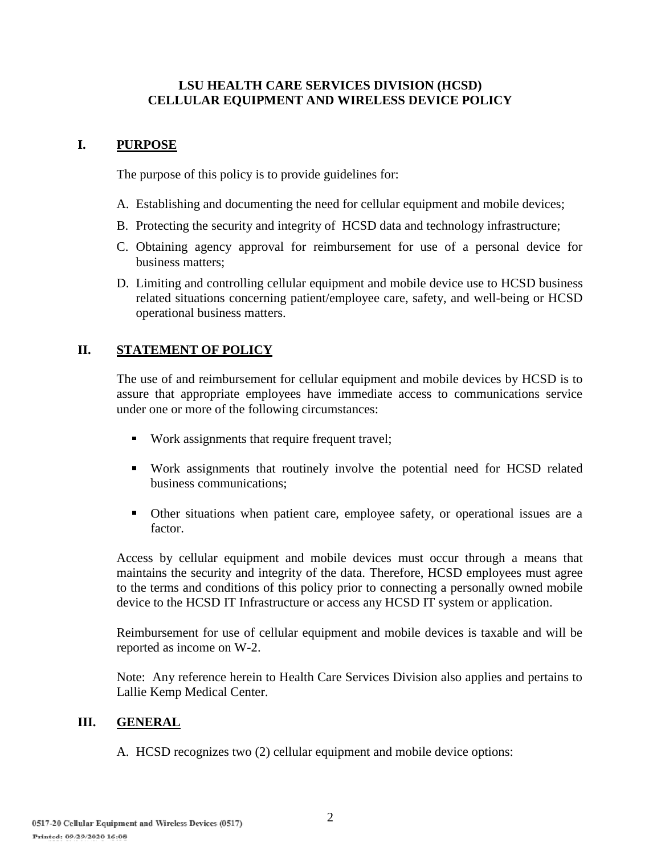#### **LSU HEALTH CARE SERVICES DIVISION (HCSD) CELLULAR EQUIPMENT AND WIRELESS DEVICE POLICY**

## **I. PURPOSE**

The purpose of this policy is to provide guidelines for:

- A. Establishing and documenting the need for cellular equipment and mobile devices;
- B. Protecting the security and integrity of HCSD data and technology infrastructure;
- C. Obtaining agency approval for reimbursement for use of a personal device for business matters;
- D. Limiting and controlling cellular equipment and mobile device use to HCSD business related situations concerning patient/employee care, safety, and well-being or HCSD operational business matters.

## **II. STATEMENT OF POLICY**

The use of and reimbursement for cellular equipment and mobile devices by HCSD is to assure that appropriate employees have immediate access to communications service under one or more of the following circumstances:

- Work assignments that require frequent travel;
- Work assignments that routinely involve the potential need for HCSD related business communications;
- Other situations when patient care, employee safety, or operational issues are a factor.

 Access by cellular equipment and mobile devices must occur through a means that maintains the security and integrity of the data. Therefore, HCSD employees must agree to the terms and conditions of this policy prior to connecting a personally owned mobile device to the HCSD IT Infrastructure or access any HCSD IT system or application.

Reimbursement for use of cellular equipment and mobile devices is taxable and will be reported as income on W-2.

 Note: Any reference herein to Health Care Services Division also applies and pertains to Lallie Kemp Medical Center.

### **III. GENERAL**

A. HCSD recognizes two (2) cellular equipment and mobile device options: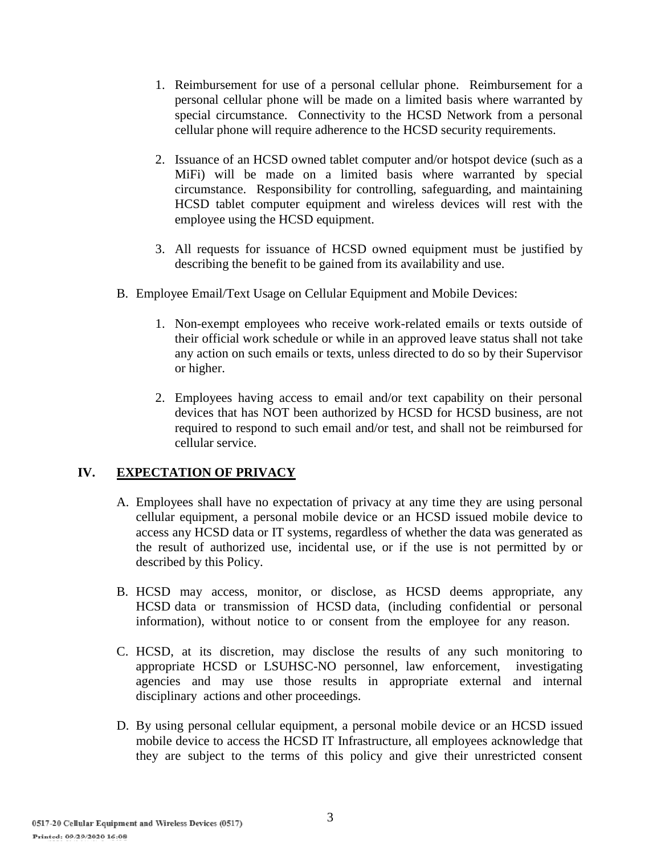- 1. Reimbursement for use of a personal cellular phone. Reimbursement for a personal cellular phone will be made on a limited basis where warranted by special circumstance. Connectivity to the HCSD Network from a personal cellular phone will require adherence to the HCSD security requirements.
- 2. Issuance of an HCSD owned tablet computer and/or hotspot device (such as a MiFi) will be made on a limited basis where warranted by special circumstance. Responsibility for controlling, safeguarding, and maintaining HCSD tablet computer equipment and wireless devices will rest with the employee using the HCSD equipment.
- 3. All requests for issuance of HCSD owned equipment must be justified by describing the benefit to be gained from its availability and use.
- B. Employee Email/Text Usage on Cellular Equipment and Mobile Devices:
	- 1. Non-exempt employees who receive work-related emails or texts outside of their official work schedule or while in an approved leave status shall not take any action on such emails or texts, unless directed to do so by their Supervisor or higher.
	- 2. Employees having access to email and/or text capability on their personal devices that has NOT been authorized by HCSD for HCSD business, are not required to respond to such email and/or test, and shall not be reimbursed for cellular service.

# **IV. EXPECTATION OF PRIVACY**

- A. Employees shall have no expectation of privacy at any time they are using personal cellular equipment, a personal mobile device or an HCSD issued mobile device to access any HCSD data or IT systems, regardless of whether the data was generated as the result of authorized use, incidental use, or if the use is not permitted by or described by this Policy.
- B. HCSD may access, monitor, or disclose, as HCSD deems appropriate, any HCSD data or transmission of HCSD data, (including confidential or personal information), without notice to or consent from the employee for any reason.
- C. HCSD, at its discretion, may disclose the results of any such monitoring to appropriate HCSD or LSUHSC-NO personnel, law enforcement, investigating agencies and may use those results in appropriate external and internal disciplinary actions and other proceedings.
- D. By using personal cellular equipment, a personal mobile device or an HCSD issued mobile device to access the HCSD IT Infrastructure, all employees acknowledge that they are subject to the terms of this policy and give their unrestricted consent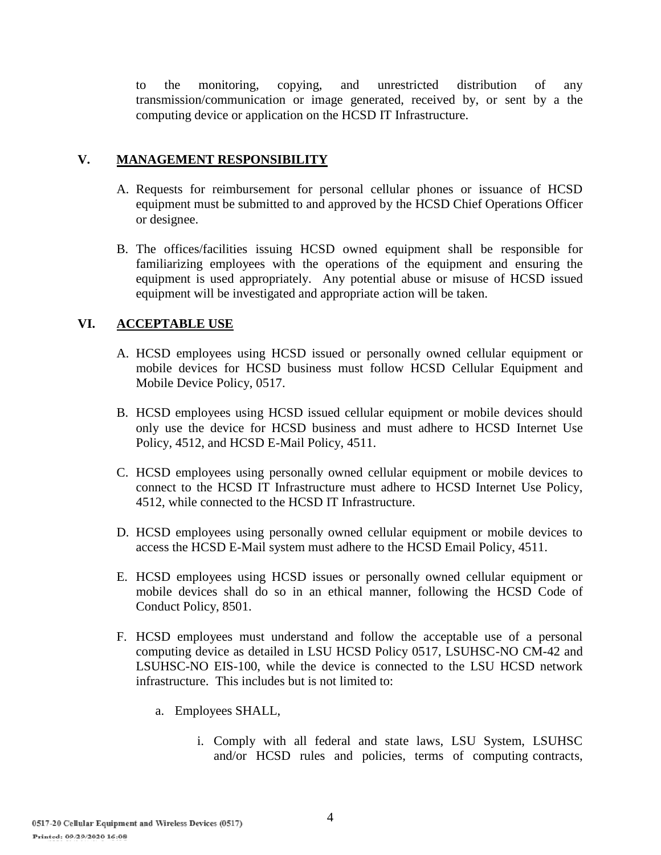to the monitoring, copying, and unrestricted distribution of any transmission/communication or image generated, received by, or sent by a the computing device or application on the HCSD IT Infrastructure.

### **V. MANAGEMENT RESPONSIBILITY**

- A. Requests for reimbursement for personal cellular phones or issuance of HCSD equipment must be submitted to and approved by the HCSD Chief Operations Officer or designee.
- B. The offices/facilities issuing HCSD owned equipment shall be responsible for familiarizing employees with the operations of the equipment and ensuring the equipment is used appropriately. Any potential abuse or misuse of HCSD issued equipment will be investigated and appropriate action will be taken.

# **VI. ACCEPTABLE USE**

- A. HCSD employees using HCSD issued or personally owned cellular equipment or mobile devices for HCSD business must follow HCSD Cellular Equipment and Mobile Device Policy, 0517.
- B. HCSD employees using HCSD issued cellular equipment or mobile devices should only use the device for HCSD business and must adhere to HCSD Internet Use Policy, 4512, and HCSD E-Mail Policy, 4511.
- C. HCSD employees using personally owned cellular equipment or mobile devices to connect to the HCSD IT Infrastructure must adhere to HCSD Internet Use Policy, 4512, while connected to the HCSD IT Infrastructure.
- D. HCSD employees using personally owned cellular equipment or mobile devices to access the HCSD E-Mail system must adhere to the HCSD Email Policy, 4511.
- E. HCSD employees using HCSD issues or personally owned cellular equipment or mobile devices shall do so in an ethical manner, following the HCSD Code of Conduct Policy, 8501.
- F. HCSD employees must understand and follow the acceptable use of a personal computing device as detailed in LSU HCSD Policy 0517, LSUHSC-NO CM-42 and LSUHSC-NO EIS-100, while the device is connected to the LSU HCSD network infrastructure. This includes but is not limited to:
	- a. Employees SHALL,
		- i. Comply with all federal and state laws, LSU System, LSUHSC and/or HCSD rules and policies, terms of computing contracts,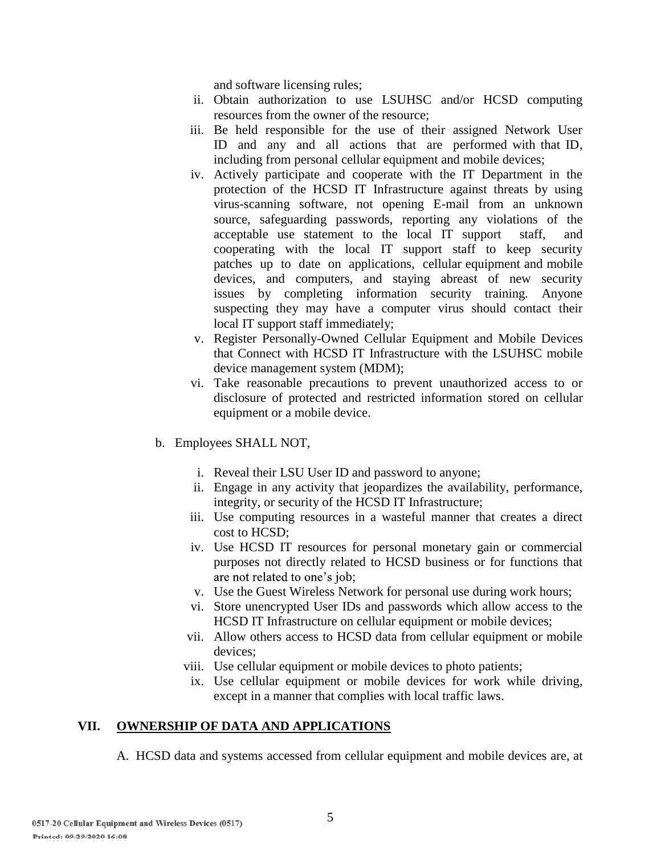and software licensing rules;

- ii. Obtain authorization to use LSUHSC and/or HCSD computing resources from the owner of the resource;
- iii. Be held responsible for the use of their assigned Network User ID and any and all actions that are performed with that ID, including from personal cellular equipment and mobile devices;
- iv. Actively participate and cooperate with the IT Department in the protection of the HCSD IT Infrastructure against threats by using virus-scanning software, not opening E-mail from an unknown source, safeguarding passwords, reporting any violations of the acceptable use statement to the local IT support staff, and cooperating with the local IT support staff to keep security patches up to date on applications, cellular equipment and mobile devices, and computers, and staying abreast of new security issues by completing information security training. Anyone suspecting they may have a computer virus should contact their local IT support staff immediately;
- v. Register Personally-Owned Cellular Equipment and Mobile Devices that Connect with HCSD IT Infrastructure with the LSUHSC mobile device management system (MDM);
- vi. Take reasonable precautions to prevent unauthorized access to or disclosure of protected and restricted information stored on cellular equipment or a mobile device.
- b. Employees SHALL NOT,
	- i. Reveal their LSU User ID and password to anyone;
	- ii. Engage in any activity that jeopardizes the availability, performance, integrity, or security of the HCSD IT Infrastructure;
	- iii. Use computing resources in a wasteful manner that creates a direct cost to HCSD;
	- iv. Use HCSD IT resources for personal monetary gain or commercial purposes not directly related to HCSD business or for functions that are not related to one's job;
	- v. Use the Guest Wireless Network for personal use during work hours;
	- vi. Store unencrypted User IDs and passwords which allow access to the HCSD IT Infrastructure on cellular equipment or mobile devices;
	- vii. Allow others access to HCSD data from cellular equipment or mobile devices;
	- viii. Use cellular equipment or mobile devices to photo patients;
	- ix. Use cellular equipment or mobile devices for work while driving, except in a manner that complies with local traffic laws.

### **VII. OWNERSHIP OF DATA AND APPLICATIONS**

A. HCSD data and systems accessed from cellular equipment and mobile devices are, at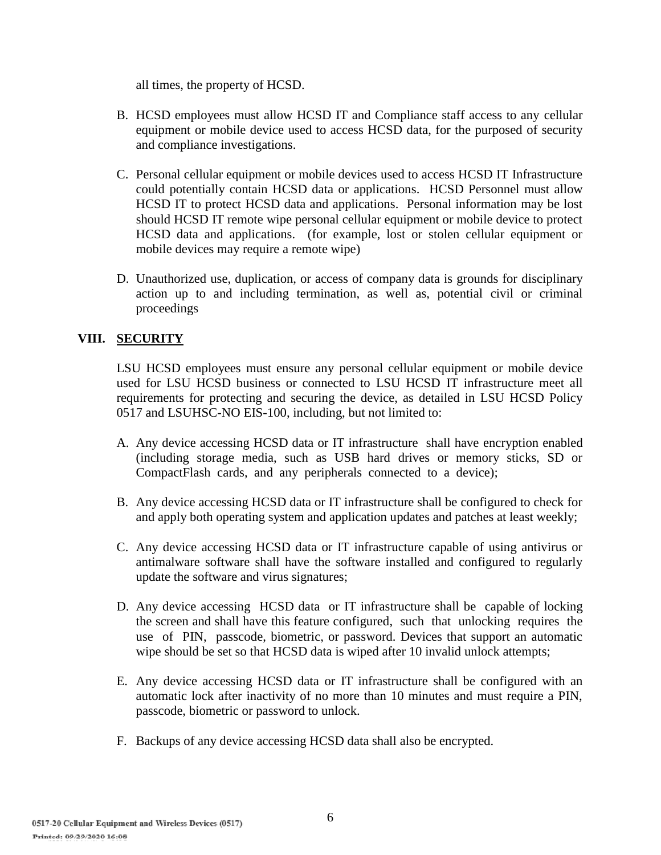all times, the property of HCSD.

- B. HCSD employees must allow HCSD IT and Compliance staff access to any cellular equipment or mobile device used to access HCSD data, for the purposed of security and compliance investigations.
- C. Personal cellular equipment or mobile devices used to access HCSD IT Infrastructure could potentially contain HCSD data or applications. HCSD Personnel must allow HCSD IT to protect HCSD data and applications. Personal information may be lost should HCSD IT remote wipe personal cellular equipment or mobile device to protect HCSD data and applications. (for example, lost or stolen cellular equipment or mobile devices may require a remote wipe)
- D. Unauthorized use, duplication, or access of company data is grounds for disciplinary action up to and including termination, as well as, potential civil or criminal proceedings

## **VIII. SECURITY**

LSU HCSD employees must ensure any personal cellular equipment or mobile device used for LSU HCSD business or connected to LSU HCSD IT infrastructure meet all requirements for protecting and securing the device, as detailed in LSU HCSD Policy 0517 and LSUHSC-NO EIS-100, including, but not limited to:

- A. Any device accessing HCSD data or IT infrastructure shall have encryption enabled (including storage media, such as USB hard drives or memory sticks, SD or CompactFlash cards, and any peripherals connected to a device);
- B. Any device accessing HCSD data or IT infrastructure shall be configured to check for and apply both operating system and application updates and patches at least weekly;
- C. Any device accessing HCSD data or IT infrastructure capable of using antivirus or antimalware software shall have the software installed and configured to regularly update the software and virus signatures;
- D. Any device accessing HCSD data or IT infrastructure shall be capable of locking the screen and shall have this feature configured, such that unlocking requires the use of PIN, passcode, biometric, or password. Devices that support an automatic wipe should be set so that HCSD data is wiped after 10 invalid unlock attempts;
- E. Any device accessing HCSD data or IT infrastructure shall be configured with an automatic lock after inactivity of no more than 10 minutes and must require a PIN, passcode, biometric or password to unlock.
- F. Backups of any device accessing HCSD data shall also be encrypted.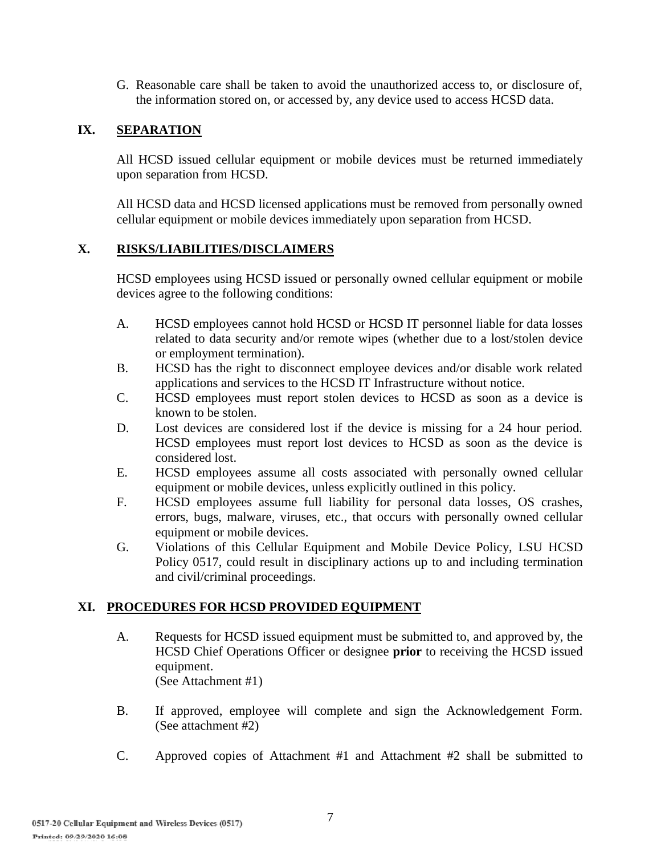G. Reasonable care shall be taken to avoid the unauthorized access to, or disclosure of, the information stored on, or accessed by, any device used to access HCSD data.

## **IX. SEPARATION**

All HCSD issued cellular equipment or mobile devices must be returned immediately upon separation from HCSD.

All HCSD data and HCSD licensed applications must be removed from personally owned cellular equipment or mobile devices immediately upon separation from HCSD.

### **X. RISKS/LIABILITIES/DISCLAIMERS**

HCSD employees using HCSD issued or personally owned cellular equipment or mobile devices agree to the following conditions:

- A. HCSD employees cannot hold HCSD or HCSD IT personnel liable for data losses related to data security and/or remote wipes (whether due to a lost/stolen device or employment termination).
- B. HCSD has the right to disconnect employee devices and/or disable work related applications and services to the HCSD IT Infrastructure without notice.
- C. HCSD employees must report stolen devices to HCSD as soon as a device is known to be stolen.
- D. Lost devices are considered lost if the device is missing for a 24 hour period. HCSD employees must report lost devices to HCSD as soon as the device is considered lost.
- E. HCSD employees assume all costs associated with personally owned cellular equipment or mobile devices, unless explicitly outlined in this policy.
- F. HCSD employees assume full liability for personal data losses, OS crashes, errors, bugs, malware, viruses, etc., that occurs with personally owned cellular equipment or mobile devices.
- G. Violations of this Cellular Equipment and Mobile Device Policy, LSU HCSD Policy 0517, could result in disciplinary actions up to and including termination and civil/criminal proceedings.

### **XI. PROCEDURES FOR HCSD PROVIDED EQUIPMENT**

- A. Requests for HCSD issued equipment must be submitted to, and approved by, the HCSD Chief Operations Officer or designee **prior** to receiving the HCSD issued equipment. (See Attachment #1)
- B. If approved, employee will complete and sign the Acknowledgement Form. (See attachment #2)
- C. Approved copies of Attachment #1 and Attachment #2 shall be submitted to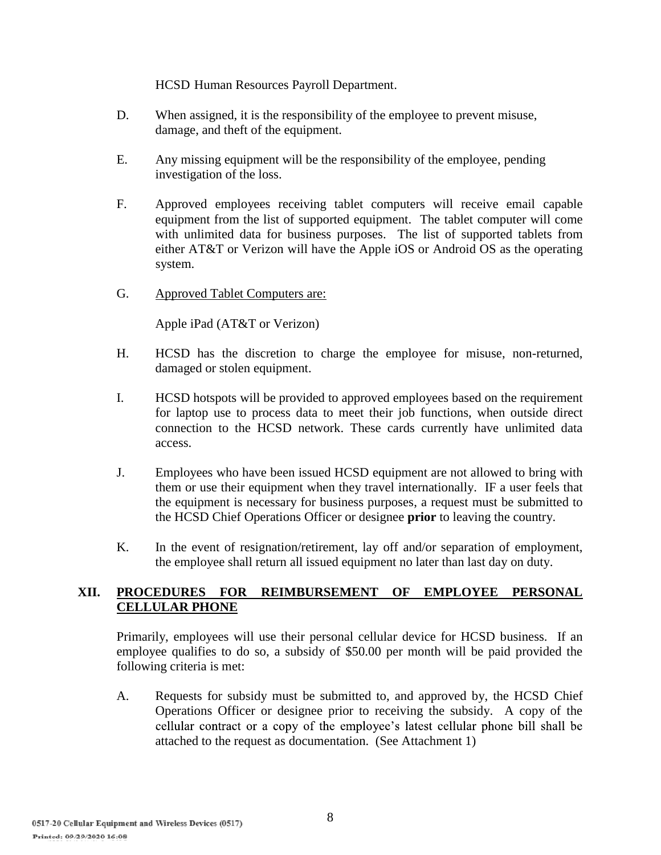HCSD Human Resources Payroll Department.

- D. When assigned, it is the responsibility of the employee to prevent misuse, damage, and theft of the equipment.
- E. Any missing equipment will be the responsibility of the employee, pending investigation of the loss.
- F. Approved employees receiving tablet computers will receive email capable equipment from the list of supported equipment. The tablet computer will come with unlimited data for business purposes. The list of supported tablets from either AT&T or Verizon will have the Apple iOS or Android OS as the operating system.
- G. Approved Tablet Computers are:

Apple iPad (AT&T or Verizon)

- H. HCSD has the discretion to charge the employee for misuse, non-returned, damaged or stolen equipment.
- I. HCSD hotspots will be provided to approved employees based on the requirement for laptop use to process data to meet their job functions, when outside direct connection to the HCSD network. These cards currently have unlimited data access.
- J. Employees who have been issued HCSD equipment are not allowed to bring with them or use their equipment when they travel internationally. IF a user feels that the equipment is necessary for business purposes, a request must be submitted to the HCSD Chief Operations Officer or designee **prior** to leaving the country.
- K. In the event of resignation/retirement, lay off and/or separation of employment, the employee shall return all issued equipment no later than last day on duty.

## **XII. PROCEDURES FOR REIMBURSEMENT OF EMPLOYEE PERSONAL CELLULAR PHONE**

Primarily, employees will use their personal cellular device for HCSD business. If an employee qualifies to do so, a subsidy of \$50.00 per month will be paid provided the following criteria is met:

A. Requests for subsidy must be submitted to, and approved by, the HCSD Chief Operations Officer or designee prior to receiving the subsidy. A copy of the cellular contract or a copy of the employee's latest cellular phone bill shall be attached to the request as documentation. (See Attachment 1)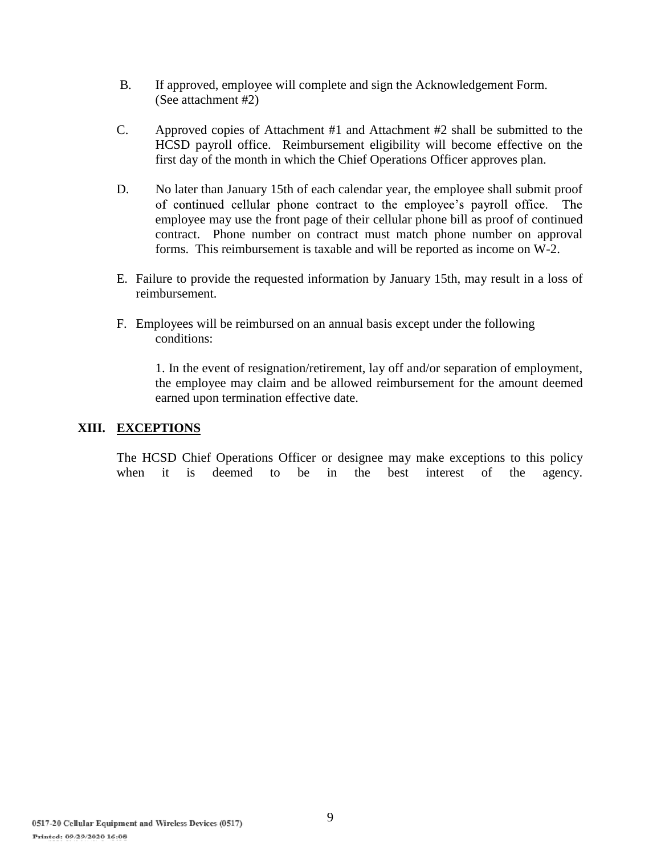- B. If approved, employee will complete and sign the Acknowledgement Form. (See attachment #2)
- C. Approved copies of Attachment #1 and Attachment #2 shall be submitted to the HCSD payroll office. Reimbursement eligibility will become effective on the first day of the month in which the Chief Operations Officer approves plan.
- D. No later than January 15th of each calendar year, the employee shall submit proof of continued cellular phone contract to the employee's payroll office. The employee may use the front page of their cellular phone bill as proof of continued contract. Phone number on contract must match phone number on approval forms. This reimbursement is taxable and will be reported as income on W-2.
- E. Failure to provide the requested information by January 15th, may result in a loss of reimbursement.
- F. Employees will be reimbursed on an annual basis except under the following conditions:

1. In the event of resignation/retirement, lay off and/or separation of employment, the employee may claim and be allowed reimbursement for the amount deemed earned upon termination effective date.

#### **XIII. EXCEPTIONS**

The HCSD Chief Operations Officer or designee may make exceptions to this policy when it is deemed to be in the best interest of the agency.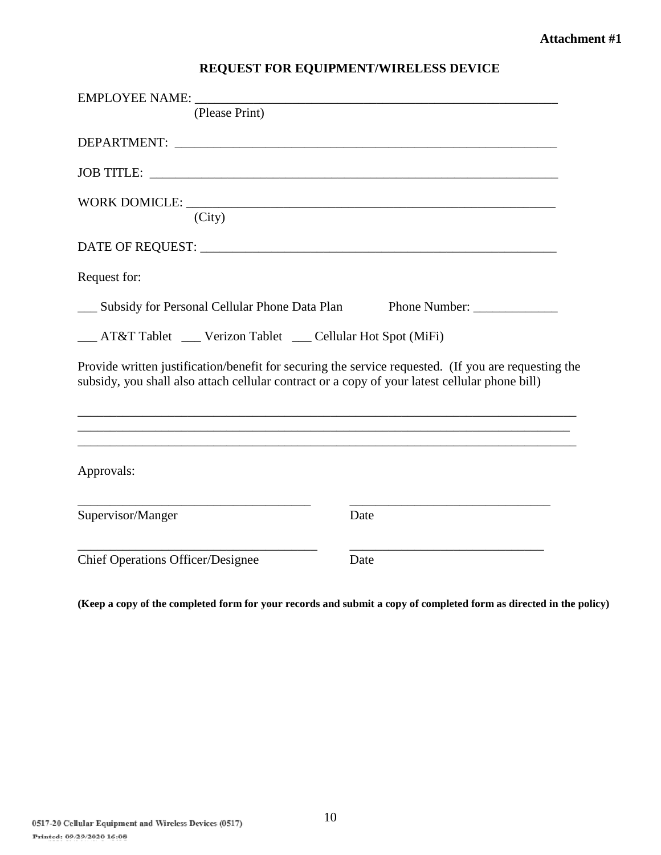# **REQUEST FOR EQUIPMENT/WIRELESS DEVICE**

| EMPLOYEE NAME:                                                                                                                                                                                         |               |
|--------------------------------------------------------------------------------------------------------------------------------------------------------------------------------------------------------|---------------|
| (Please Print)                                                                                                                                                                                         |               |
|                                                                                                                                                                                                        |               |
| JOB TITLE:                                                                                                                                                                                             |               |
| (City)                                                                                                                                                                                                 |               |
|                                                                                                                                                                                                        |               |
| Request for:                                                                                                                                                                                           |               |
| __ Subsidy for Personal Cellular Phone Data Plan                                                                                                                                                       | Phone Number: |
| __ AT&T Tablet __ Verizon Tablet __ Cellular Hot Spot (MiFi)                                                                                                                                           |               |
| Provide written justification/benefit for securing the service requested. (If you are requesting the<br>subsidy, you shall also attach cellular contract or a copy of your latest cellular phone bill) |               |
|                                                                                                                                                                                                        |               |
| Approvals:                                                                                                                                                                                             |               |
| Supervisor/Manger                                                                                                                                                                                      | Date          |
| <b>Chief Operations Officer/Designee</b>                                                                                                                                                               | Date          |

**(Keep a copy of the completed form for your records and submit a copy of completed form as directed in the policy)**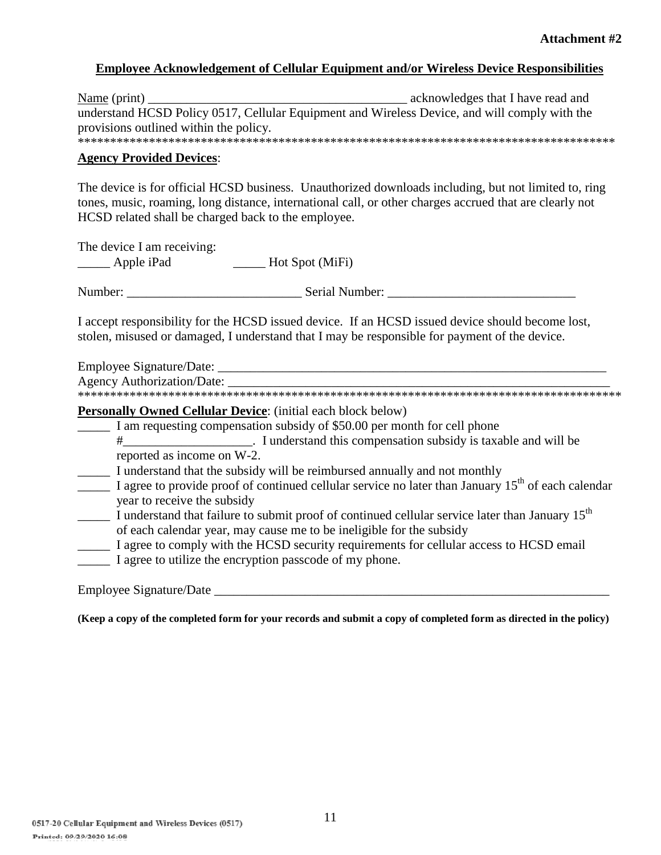#### **Employee Acknowledgement of Cellular Equipment and/or Wireless Device Responsibilities**

| $\frac{\text{Name}}{\text{print}}$                                                            | acknowledges that I have read and |
|-----------------------------------------------------------------------------------------------|-----------------------------------|
| understand HCSD Policy 0517, Cellular Equipment and Wireless Device, and will comply with the |                                   |
| provisions outlined within the policy.                                                        |                                   |
|                                                                                               |                                   |

**Agency Provided Devices**:

The device is for official HCSD business. Unauthorized downloads including, but not limited to, ring tones, music, roaming, long distance, international call, or other charges accrued that are clearly not HCSD related shall be charged back to the employee.

The device I am receiving: \_\_\_\_\_ Apple iPad \_\_\_\_\_ Hot Spot (MiFi)

Number: \_\_\_\_\_\_\_\_\_\_\_\_\_\_\_\_\_\_\_\_\_\_\_\_\_\_\_ Serial Number: \_\_\_\_\_\_\_\_\_\_\_\_\_\_\_\_\_\_\_\_\_\_\_\_\_\_\_\_\_

I accept responsibility for the HCSD issued device. If an HCSD issued device should become lost, stolen, misused or damaged, I understand that I may be responsible for payment of the device.

Employee Signature/Date: \_\_\_\_\_\_\_\_\_\_\_\_\_\_\_\_\_\_\_\_\_\_\_\_\_\_\_\_\_\_\_\_\_\_\_\_\_\_\_\_\_\_\_\_\_\_\_\_\_\_\_\_\_\_\_\_\_\_\_\_

\*\*\*\*\*\*\*\*\*\*\*\*\*\*\*\*\*\*\*\*\*\*\*\*\*\*\*\*\*\*\*\*\*\*\*\*\*\*\*\*\*\*\*\*\*\*\*\*\*\*\*\*\*\*\*\*\*\*\*\*\*\*\*\*\*\*\*\*\*\*\*\*\*\*\*\*\*\*\*\*\*\*\*\*

**Personally Owned Cellular Device**: (initial each block below)

\_\_\_\_\_ I am requesting compensation subsidy of \$50.00 per month for cell phone

- #\_\_\_\_\_\_\_\_\_\_\_\_\_\_\_\_\_\_\_\_. I understand this compensation subsidy is taxable and will be reported as income on W-2.
- I understand that the subsidy will be reimbursed annually and not monthly
- $\frac{1}{\sqrt{1-\frac{1}{\sqrt{1-\frac{1}{\sqrt{1-\frac{1}{\sqrt{1-\frac{1}{\sqrt{1-\frac{1}{\sqrt{1-\frac{1}{\sqrt{1-\frac{1}{\sqrt{1-\frac{1}{\sqrt{1-\frac{1}{\sqrt{1-\frac{1}{\sqrt{1-\frac{1}{\sqrt{1-\frac{1}{\sqrt{1-\frac{1}{\sqrt{1-\frac{1}{\sqrt{1-\frac{1}{\sqrt{1-\frac{1}{\sqrt{1-\frac{1}{\sqrt{1-\frac{1}{\sqrt{1-\frac{1}{\sqrt{1-\frac{1}{\sqrt{1-\frac{1}{\sqrt{1-\frac{1}{\sqrt{1-\frac{1}{\sqrt{1-\frac{1$ year to receive the subsidy
- $\frac{1}{\sqrt{1-\frac{1}{\sqrt{1-\frac{1}{\sqrt{1-\frac{1}{\sqrt{1-\frac{1}{\sqrt{1-\frac{1}{\sqrt{1-\frac{1}{\sqrt{1-\frac{1}{\sqrt{1-\frac{1}{\sqrt{1-\frac{1}{\sqrt{1-\frac{1}{\sqrt{1-\frac{1}{\sqrt{1-\frac{1}{\sqrt{1-\frac{1}{\sqrt{1-\frac{1}{\sqrt{1-\frac{1}{\sqrt{1-\frac{1}{\sqrt{1-\frac{1}{\sqrt{1-\frac{1}{\sqrt{1-\frac{1}{\sqrt{1-\frac{1}{\sqrt{1-\frac{1}{\sqrt{1-\frac{1}{\sqrt{1-\frac{1}{\sqrt{1-\frac{1$ of each calendar year, may cause me to be ineligible for the subsidy
- \_\_\_\_\_ I agree to comply with the HCSD security requirements for cellular access to HCSD email
- I agree to utilize the encryption passcode of my phone.

Employee Signature/Date \_\_\_\_\_\_\_\_\_\_\_\_\_\_\_\_\_\_\_\_\_\_\_\_\_\_\_\_\_\_\_\_\_\_\_\_\_\_\_\_\_\_\_\_\_\_\_\_\_\_\_\_\_\_\_\_\_\_\_\_\_

**(Keep a copy of the completed form for your records and submit a copy of completed form as directed in the policy)**